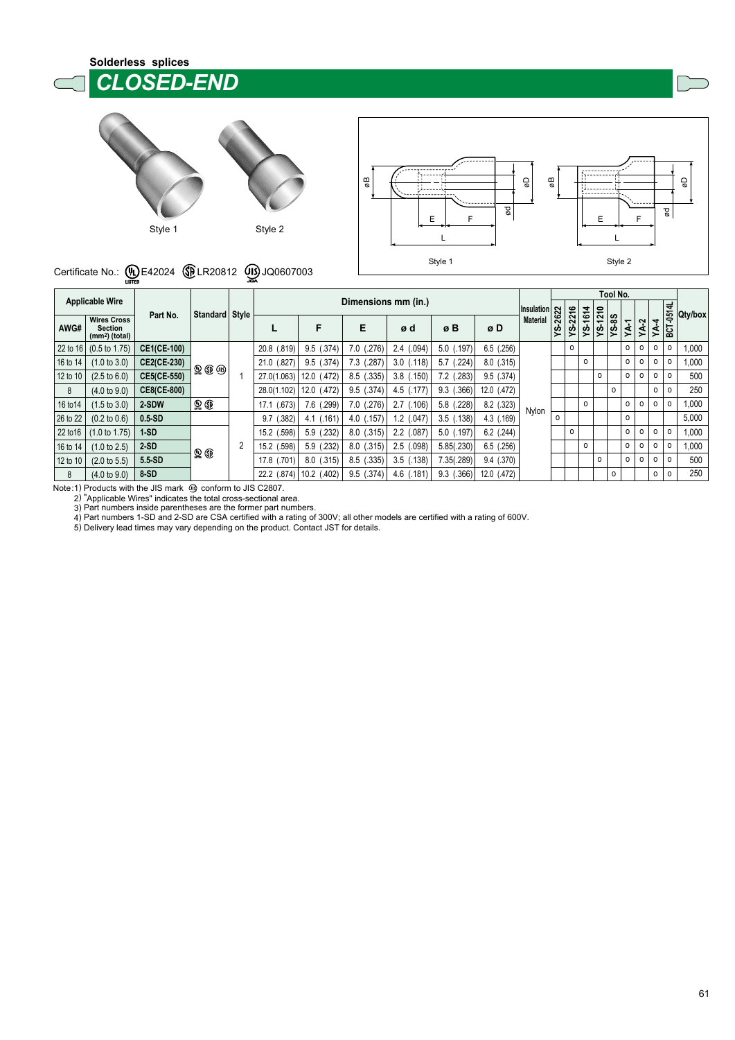#### **Solderless splices**  *CLOSED-END*





# Certificate No.: **(L)** E42024 **I**C LR20812 **U**) JQ0607003

| <b>Applicable Wire</b> |                                                         |             |                                 |                             |                     | Tool No.       |                |                |                |                 |         |              |            |                  |          |           |                |         |               |                                   |
|------------------------|---------------------------------------------------------|-------------|---------------------------------|-----------------------------|---------------------|----------------|----------------|----------------|----------------|-----------------|---------|--------------|------------|------------------|----------|-----------|----------------|---------|---------------|-----------------------------------|
|                        |                                                         | Part No.    | Standard Style                  |                             | Dimensions mm (in.) |                |                |                |                |                 |         |              |            | ₽                |          |           |                |         | $\Rightarrow$ | $\left  \mathsf{Qty} \right $ box |
| AWG#                   | <b>Wires Cross</b><br><b>Section</b><br>$(mm2)$ (total) |             |                                 |                             | F                   | Е              | ød             | øB             | øD             | <b>Material</b> | YS-2622 | $-2216$<br>غ | -1614<br>غ | $\sim$<br>ᡪ<br>ې | $8 - 85$ | <b>TA</b> | YA-2           | 4<br>≸  | BCT-0514      |                                   |
| 22 to 16               | $(0.5 \text{ to } 1.75)$                                | CE1(CE-100) | $\circledR \circledR \circledR$ | 20.8 (.819)                 | $9.5$ $(.374)$      | $7.0$ $(.276)$ | $2.4$ (.094)   | $5.0$ (.197)   | $6.5$ (.256)   |                 |         | $\Omega$     |            |                  |          | $\circ$   | $\circ$        | 0       | o             | 1,000                             |
| 16 to 14               | (1.0 to 3.0)                                            | CE2(CE-230) |                                 | 21.0 (.827)                 | $9.5$ (.374)        | 7.3 (.287)     | $3.0$ $(.118)$ | $5.7$ $(.224)$ | $8.0$ $(.315)$ |                 |         |              | O          |                  |          | $\circ$   | 0              | 0       | 0             | 1,000                             |
| 12 to 10               | $(2.5 \text{ to } 6.0)$                                 | CE5(CE-550) |                                 | 27.0(1.063)                 | 12.0 (.472)         | $8.5$ $(.335)$ | $3.8$ $(.150)$ | $7.2$ (.283)   | $9.5$ (.374)   |                 |         |              |            | 0                |          | $\circ$   | 0              | $\circ$ | $\circ$       | 500                               |
| 8                      | $(4.0 \text{ to } 9.0)$                                 | CE8(CE-800) |                                 | 28.0(1.102)                 | 12.0 (.472)         | $9.5$ $(.374)$ | 4.5 (.177)     | $9.3$ $(.366)$ | 12.0 (.472)    |                 |         |              |            |                  | $\circ$  |           |                | $\circ$ | $\Omega$      | 250                               |
| 16 to 14               | $(1.5 \text{ to } 3.0)$                                 | 2-SDW       | $\mathbf{Q} \times$             | (.673)<br>17.1              | 7.6 (.299)          | $7.0$ $(.276)$ | $2.7$ (.106)   | (.228)<br>5.8( | $8.2$ (.323)   | Nvlon           |         |              | 0          |                  |          | $\circ$   | $\circ$        | 0       | $\circ$       | 1,000                             |
| 26 to 22               | $(0.2 \text{ to } 0.6)$                                 | $0.5-SD$    |                                 | $9.7$ (.382)                | $4.1$ (.161)        | $4.0$ (.157)   | $1.2$ $(.047)$ | $3.5$ $(.138)$ | 4.3 (.169)     |                 | $\circ$ |              |            |                  |          | $\circ$   |                |         |               | 5,000                             |
| 22 to 16               | $(1.0 \text{ to } 1.75)$                                | $1-SD$      |                                 | 15.2 (.598)                 | $5.9$ $(.232)$      | $8.0$ $(.315)$ | $2.2$ (.087)   | $5.0$ (.197)   | $6.2$ (.244)   |                 |         | $\Omega$     |            |                  |          | $\circ$   | $\mathsf{o}\,$ | $\circ$ | $\Omega$      | 1,000                             |
| 16 to 14               | (1.0 to 2.5)                                            | $2-SD$      | $\mathcal{Q} \times$            | 15.2 (.598)                 | $5.9$ $(.232)$      | $8.0$ $(.315)$ | $2.5$ (.098)   | 5.85(.230)     | $6.5$ (.256)   |                 |         |              | 0          |                  |          | $\circ$   | $\circ$        | $\circ$ | $\Omega$      | 1,000                             |
| 12 to 10               | $(2.0 \text{ to } 5.5)$                                 | $5.5-SD$    |                                 | (.701)<br>17.8 <sup>1</sup> | $8.0$ $(.315)$      | $8.5$ $(.335)$ | $3.5$ $(.138)$ | 7.35(.289)     | $9.4$ $(.370)$ |                 |         |              |            | $\circ$          |          | $\circ$   | 0              | $\circ$ | $\Omega$      | 500                               |
| 8                      | $(4.0 \text{ to } 9.0)$                                 | 8-SD        |                                 | 22.2 (.874)                 | 10.2 (.402)         | $9.5$ $(.374)$ | $4.6$ (.181)   | 9.3(0.366)     | 12.0 (.472)    |                 |         |              |            |                  | 0        |           |                | o       | 0             | 250                               |

Note:1) Products with the JIS mark  $\circledR$  conform to JIS C2807.<br>
2) "Applicable Wires" indicates the total cross-sectional area.<br>
3) Part numbers inside parentheses are the former part numbers.<br>
4) Part numbers 1-SD and 2-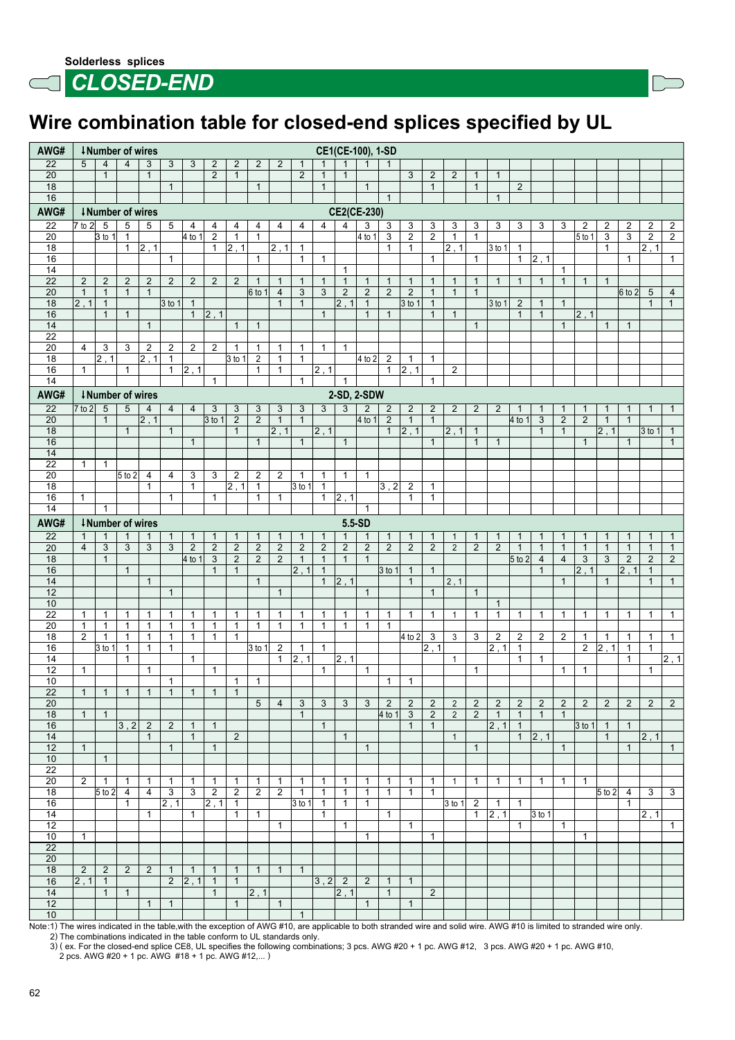

 $\subset$ 



## **Wire combination table for closed-end splices specified by UL**

| AWG#                               | CE1(CE-100), 1-SD<br>↓Number of wires           |                                     |                                |                                |                              |                                 |                                |                                    |                                |                                |                                |                              |                                |                                |                                       |                                         |                                  |                                    |                                  |                                          |                                  |                                |                                |                     |                                         |                              |                                    |                              |
|------------------------------------|-------------------------------------------------|-------------------------------------|--------------------------------|--------------------------------|------------------------------|---------------------------------|--------------------------------|------------------------------------|--------------------------------|--------------------------------|--------------------------------|------------------------------|--------------------------------|--------------------------------|---------------------------------------|-----------------------------------------|----------------------------------|------------------------------------|----------------------------------|------------------------------------------|----------------------------------|--------------------------------|--------------------------------|---------------------|-----------------------------------------|------------------------------|------------------------------------|------------------------------|
| $\overline{22}$                    | 5                                               | 4                                   | $\overline{4}$                 | 3                              | 3                            | 3                               | $\overline{c}$                 | 2                                  | 2                              | $\overline{2}$                 | 1                              | $\mathbf{1}$                 | $\mathbf{1}$                   | $\mathbf{1}$                   | $\mathbf{1}$                          |                                         |                                  |                                    |                                  |                                          |                                  |                                |                                |                     |                                         |                              |                                    |                              |
| $\overline{20}$<br>$\overline{18}$ |                                                 | $\mathbf{1}$                        |                                | $\mathbf{1}$                   | $\mathbf{1}$                 |                                 | 2                              | $\mathbf{1}$                       | $\mathbf{1}$                   |                                | $\overline{2}$                 | $\mathbf{1}$<br>$\mathbf{1}$ | $\mathbf{1}$                   | $\mathbf{1}$                   |                                       | 3                                       | $\overline{2}$<br>$\overline{1}$ | $\overline{2}$                     | $\mathbf{1}$<br>$\overline{1}$   | $\overline{1}$                           | $\sqrt{2}$                       |                                |                                |                     |                                         |                              |                                    |                              |
| $\overline{16}$                    |                                                 |                                     |                                |                                |                              |                                 |                                |                                    |                                |                                |                                |                              |                                |                                | $\mathbf{1}$                          |                                         |                                  |                                    |                                  | $\overline{1}$                           |                                  |                                |                                |                     |                                         |                              |                                    |                              |
| AWG#                               |                                                 | ↓Number of wires                    |                                |                                |                              |                                 |                                |                                    |                                |                                |                                |                              | CE2(CE-230)                    |                                |                                       |                                         |                                  |                                    |                                  |                                          |                                  |                                |                                |                     |                                         |                              |                                    |                              |
| $\overline{22}$                    | $\overline{7}$ to $2\overline{5}$               |                                     | 5                              | 5                              | $\overline{5}$               | 4                               | 4                              | 4                                  | 4                              | 4                              | 4                              | 4                            | 4                              | 3                              | 3                                     | 3                                       | 3                                | 3                                  | 3                                | 3                                        | 3                                | 3                              | 3                              | $\overline{2}$      | 2                                       | 2                            | 2                                  | 2                            |
| $\overline{20}$<br>$\overline{18}$ |                                                 | $ 3 \text{ to } 1 $                 | $\mathbf{1}$<br>$\mathbf{1}$   | $\overline{2,1}$               |                              | $ 4 \text{ to } 1 $             | $\overline{2}$<br>$\mathbf{1}$ | $\mathbf{1}$<br>$\overline{2,1}$   | $\mathbf{1}$                   | 2, 1                           | $\mathbf{1}$                   |                              |                                | $ 4 \text{ to } 1 $            | $\overline{3}$<br>$\mathbf{1}$        | $\overline{\mathbf{c}}$<br>$\mathbf{1}$ | $\overline{2}$                   | $\overline{1}$<br>$\overline{2,1}$ | $\mathbf{1}$                     | 3 to 1                                   | $\mathbf{1}$                     |                                |                                | $5$ to 1            | $\overline{\mathbf{3}}$<br>$\mathbf{1}$ | $\overline{3}$               | $\overline{2}$<br>$\overline{2,1}$ | $\overline{2}$               |
| $\overline{16}$                    |                                                 |                                     |                                |                                | $\mathbf{1}$                 |                                 |                                |                                    | $\mathbf{1}$                   |                                | 1                              | $\mathbf{1}$                 |                                |                                |                                       |                                         | $\mathbf{1}$                     |                                    | $\mathbf{1}$                     |                                          | $\mathbf{1}$                     | $\overline{2,1}$               |                                |                     |                                         | $\mathbf{1}$                 |                                    | $\mathbf{1}$                 |
| $\overline{14}$                    |                                                 |                                     |                                |                                |                              |                                 |                                |                                    |                                |                                |                                |                              | $\mathbf{1}$                   |                                |                                       |                                         |                                  |                                    |                                  |                                          |                                  |                                | 1                              |                     |                                         |                              |                                    |                              |
| $\overline{22}$<br>$\overline{20}$ | $\overline{2}$<br>$\mathbf{1}$                  | $\overline{c}$<br>$\mathbf{1}$      | $\overline{2}$<br>$\mathbf{1}$ | $\overline{2}$<br>$\mathbf{1}$ | $\overline{2}$               | $\overline{2}$                  | $\overline{2}$                 | $\overline{2}$                     | $\mathbf{1}$<br>$6$ to 1       | $\mathbf 1$<br>$\overline{4}$  | $\mathbf{1}$<br>$\overline{3}$ | $\mathbf{1}$<br>3            | $\mathbf{1}$<br>$\overline{2}$ | $\mathbf{1}$<br>$\overline{2}$ | $\mathbf{1}$<br>$\overline{2}$        | $\mathbf{1}$<br>$\sqrt{2}$              | $\mathbf{1}$<br>$\mathbf{1}$     | $\mathbf{1}$<br>$\mathbf{1}$       | $\mathbf{1}$<br>$\mathbf{1}$     | $\mathbf{1}$                             | $\mathbf{1}$                     | $\mathbf{1}$                   | $\mathbf{1}$                   | $\mathbf{1}$        | $\mathbf{1}$                            | $6$ to 2                     | 5                                  | $\overline{4}$               |
| $\overline{18}$                    | 2, 1                                            | $\mathbf{1}$                        |                                |                                | $3$ to 1                     | $\mathbf{1}$                    |                                |                                    |                                | $\mathbf{1}$                   | $\mathbf{1}$                   |                              | 2, 1                           | $\mathbf{1}$                   |                                       | $ 3 \text{ to } 1 $                     | $\mathbf{1}$                     |                                    |                                  | $3$ to 1                                 | $\overline{2}$                   | $\mathbf{1}$                   | $\mathbf{1}$                   |                     |                                         |                              | $\mathbf{1}$                       | $\mathbf{1}$                 |
| $\overline{16}$                    |                                                 | $\mathbf{1}$                        | $\mathbf{1}$                   |                                |                              |                                 | $1 \ 2, 1$                     |                                    |                                |                                |                                | $\mathbf{1}$                 |                                | $\mathbf{1}$                   | $\mathbf{1}$                          |                                         | $\mathbf{1}$                     | $\mathbf{1}$                       |                                  |                                          | $\mathbf{1}$                     | $\mathbf{1}$                   |                                | $\overline{2,1}$    |                                         |                              |                                    |                              |
| $\overline{14}$<br>$\overline{22}$ |                                                 |                                     |                                | $\mathbf{1}$                   |                              |                                 |                                | $\mathbf{1}$                       | $\mathbf{1}$                   |                                |                                |                              |                                |                                |                                       |                                         |                                  |                                    | $\mathbf{1}$                     |                                          |                                  |                                | $\mathbf{1}$                   |                     | $\mathbf{1}$                            | $\mathbf{1}$                 |                                    |                              |
| $\overline{20}$                    | $\overline{4}$                                  | $\overline{3}$                      | 3                              | $\overline{2}$                 | $\overline{2}$               | $\overline{2}$                  | $\overline{2}$                 | $\mathbf{1}$                       | $\mathbf{1}$                   | 1                              | 1                              | $\mathbf{1}$                 | $\mathbf{1}$                   |                                |                                       |                                         |                                  |                                    |                                  |                                          |                                  |                                |                                |                     |                                         |                              |                                    |                              |
| $\overline{18}$                    |                                                 | $\overline{2,1}$                    |                                | $\overline{2,1}$               | $\mathbf{1}$                 |                                 |                                | $ 3 \text{ to } 1 $                | $\overline{2}$                 | $\mathbf{1}$                   | 1                              |                              |                                | $ 4 \text{ to } 2 $            | $\overline{2}$                        | $\mathbf{1}$                            | $\mathbf{1}$                     |                                    |                                  |                                          |                                  |                                |                                |                     |                                         |                              |                                    |                              |
| $\overline{16}$<br>$\overline{14}$ | 1                                               |                                     | 1                              |                                | $\mathbf{1}$                 | 2, 1                            | $\mathbf{1}$                   |                                    | $\mathbf{1}$                   | $\mathbf{1}$                   | $\mathbf{1}$                   | $\overline{2,1}$             | $\mathbf{1}$                   |                                | $\mathbf{1}$                          | $\overline{2,1}$                        | $\overline{1}$                   | $\overline{2}$                     |                                  |                                          |                                  |                                |                                |                     |                                         |                              |                                    |                              |
| AWG#                               | ↓Number of wires<br>2-SD, 2-SDW                 |                                     |                                |                                |                              |                                 |                                |                                    |                                |                                |                                |                              |                                |                                |                                       |                                         |                                  |                                    |                                  |                                          |                                  |                                |                                |                     |                                         |                              |                                    |                              |
| $\overline{22}$                    | $7$ to $2$                                      | 5                                   | 5                              | $\overline{4}$                 | $\overline{4}$               | 4                               | 3                              | 3                                  | $\mathbf{3}$                   | 3                              | 3                              | 3                            | $\overline{3}$                 | $\overline{2}$                 | $\sqrt{2}$                            | $\overline{2}$                          | $\overline{2}$                   | $\overline{c}$                     | $\overline{c}$                   | $\overline{2}$                           | -1                               | 1                              | 1                              | 1                   | 1                                       | $\mathbf{1}$                 | $\mathbf{1}$                       | $\mathbf{1}$                 |
| $\overline{20}$                    |                                                 | 1                                   |                                | $\overline{2,1}$               |                              |                                 | $3$ to 1                       | $\overline{2}$                     | $\overline{2}$                 | $\mathbf{1}$                   | $\overline{1}$                 |                              |                                | $ 4 \text{ to } 1 $            | $\overline{2}$                        | $\overline{1}$                          | $\overline{1}$                   |                                    |                                  |                                          | $4$ to 1                         | 3                              | $\overline{2}$                 | $\overline{2}$      | $\mathbf{1}$                            | $\mathbf{1}$                 |                                    |                              |
| $\overline{18}$<br>$\overline{16}$ |                                                 |                                     | $\mathbf{1}$                   |                                | $\mathbf{1}$                 | $\mathbf{1}$                    |                                | $\mathbf{1}$                       | $\mathbf{1}$                   | $\vert 2$ , 1                  | $\mathbf{1}$                   | 2, 1                         | $\mathbf{1}$                   |                                | $\overline{1}$                        | $\overline{2,1}$                        | $\mathbf{1}$                     | 2, 1                               | $\mathbf{1}$<br>$\mathbf{1}$     | $\overline{1}$                           |                                  | $\mathbf{1}$                   | $\mathbf{1}$                   | $\mathbf{1}$        | 2, 1                                    | $\mathbf{1}$                 | 3 to 1                             | $\mathbf{1}$<br>$\mathbf{1}$ |
| $\overline{14}$                    |                                                 |                                     |                                |                                |                              |                                 |                                |                                    |                                |                                |                                |                              |                                |                                |                                       |                                         |                                  |                                    |                                  |                                          |                                  |                                |                                |                     |                                         |                              |                                    |                              |
| $\overline{22}$<br>$\overline{20}$ | $\mathbf{1}$                                    | $\mathbf{1}$                        |                                |                                |                              |                                 |                                |                                    |                                |                                |                                |                              |                                |                                |                                       |                                         |                                  |                                    |                                  |                                          |                                  |                                |                                |                     |                                         |                              |                                    |                              |
| $\overline{18}$                    |                                                 |                                     | $5$ to 2                       | 4<br>$\mathbf{1}$              | 4                            | 3<br>$\mathbf{1}$               | 3                              | $\overline{c}$<br>$\overline{2,1}$ | $\overline{2}$<br>$\mathbf{1}$ | $\overline{2}$                 | $\mathbf{1}$<br>3 to 1         | $\mathbf{1}$<br>$\mathbf{1}$ | $\mathbf{1}$                   | $\mathbf{1}$                   | $\overline{3,2}$                      | $\overline{c}$                          | $\mathbf{1}$                     |                                    |                                  |                                          |                                  |                                |                                |                     |                                         |                              |                                    |                              |
| $\overline{16}$                    | $\mathbf{1}$                                    |                                     |                                |                                | $\mathbf{1}$                 |                                 | 1                              |                                    | $\mathbf{1}$                   | 1                              |                                | $\mathbf{1}$                 | $\overline{2,1}$               |                                |                                       | $\mathbf{1}$                            | $\mathbf{1}$                     |                                    |                                  |                                          |                                  |                                |                                |                     |                                         |                              |                                    |                              |
|                                    | $\overline{14}$<br>$\mathbf{1}$<br>$\mathbf{1}$ |                                     |                                |                                |                              |                                 |                                |                                    |                                |                                |                                |                              |                                |                                |                                       |                                         |                                  |                                    |                                  |                                          |                                  |                                |                                |                     |                                         |                              |                                    |                              |
|                                    | AWG#<br><b>Number of wires</b><br>5.5-SD        |                                     |                                |                                |                              |                                 |                                |                                    |                                |                                |                                |                              |                                |                                |                                       |                                         |                                  |                                    |                                  |                                          |                                  |                                |                                |                     |                                         |                              |                                    |                              |
| $\overline{22}$<br>$\overline{20}$ | $\mathbf{1}$<br>$\overline{4}$                  | $\mathbf{1}$<br>$\sqrt{3}$          | $\mathbf{1}$<br>3              | 1<br>3                         | $\mathbf{1}$<br>3            | $\mathbf{1}$<br>$\overline{2}$  | 1<br>$\overline{2}$            | $\mathbf 1$<br>$\overline{2}$      | $\mathbf{1}$<br>$\overline{2}$ | $\mathbf 1$<br>$\overline{2}$  | $\mathbf{1}$<br>$\overline{2}$ | $\mathbf 1$<br>$\sqrt{2}$    | $\mathbf{1}$<br>$\overline{2}$ | $\mathbf{1}$<br>$\overline{c}$ | $\mathbf{1}$<br>$\overline{2}$        | 1<br>$\overline{2}$                     | 1<br>$\overline{2}$              | $\mathbf{1}$<br>$\overline{2}$     | $\mathbf{1}$<br>$\overline{2}$   | 1<br>$\overline{2}$                      | 1<br>$\mathbf{1}$                | 1<br>$\mathbf{1}$              | 1<br>$\mathbf{1}$              | 1<br>$\mathbf{1}$   | 1<br>$\mathbf{1}$                       | $\mathbf{1}$<br>$\mathbf{1}$ | $\mathbf 1$<br>$\mathbf{1}$        | $\mathbf{1}$<br>$\mathbf{1}$ |
| $\overline{18}$                    |                                                 | $\mathbf{1}$                        |                                |                                |                              | $4$ to 1                        | $\overline{\overline{3}}$      | $\overline{c}$                     | $\overline{2}$                 | $\overline{2}$                 | $\mathbf{1}$                   | $\mathbf{1}$                 | $\overline{1}$                 | $\mathbf{1}$                   |                                       |                                         |                                  |                                    |                                  |                                          | $ 5 \text{ to } 2 $              | $\overline{4}$                 | $\overline{4}$                 | 3                   | $\overline{3}$                          | $\overline{2}$               | $\overline{2}$                     | $\overline{2}$               |
| $\overline{16}$                    |                                                 |                                     | $\mathbf{1}$                   |                                |                              |                                 | $\mathbf{1}$                   | $\mathbf{1}$                       |                                |                                | 2, 1                           | $\mathbf{1}$                 |                                |                                | $ 3 \text{ to } 1 $                   | $\overline{1}$                          | $\mathbf{1}$                     |                                    |                                  |                                          |                                  | $\mathbf{1}$                   |                                | $\overline{2,1}$    |                                         | 2, 1                         | $\mathbf{1}$                       | $\overline{1}$               |
| $\overline{14}$<br>$\overline{12}$ |                                                 |                                     |                                | $\mathbf{1}$                   | $\mathbf{1}$                 |                                 |                                |                                    | $\mathbf{1}$                   | $\mathbf{1}$                   |                                | $\mathbf{1}$                 | 2, 1                           | $\mathbf{1}$                   |                                       | $\mathbf{1}$                            | $\mathbf{1}$                     | $2, 1$                             | $\mathbf{1}$                     |                                          |                                  |                                | $\mathbf{1}$                   |                     | $\mathbf{1}$                            |                              | $\mathbf{1}$                       |                              |
| $\overline{10}$                    |                                                 |                                     |                                |                                |                              |                                 |                                |                                    |                                |                                |                                |                              |                                |                                |                                       |                                         |                                  |                                    |                                  | $\mathbf{1}$                             |                                  |                                |                                |                     |                                         |                              |                                    |                              |
| $\overline{22}$<br>$\overline{20}$ | 1<br>$\mathbf{1}$                               | 1<br>$\mathbf{1}$                   | $\mathbf 1$<br>$\mathbf{1}$    | 1<br>1                         | $\mathbf{1}$<br>$\mathbf{1}$ | $\mathbf{1}$<br>1               | 1<br>1                         | -1<br>1                            | $\mathbf{1}$<br>1              | 1<br>$\mathbf{1}$              | 1<br>$\mathbf{1}$              | 1<br>$\mathbf{1}$            | $\mathbf{1}$<br>$\mathbf{1}$   | $\mathbf{1}$<br>$\mathbf{1}$   | $\mathbf{1}$<br>$\mathbf{1}$          | $\mathbf{1}$                            | 1                                | $\mathbf{1}$                       | $\mathbf{1}$                     | $\mathbf{1}$                             | $\mathbf{1}$                     | 1                              | $\mathbf{1}$                   | 1                   | 1                                       | 1                            | $\mathbf{1}$                       | $\mathbf{1}$                 |
| $\overline{18}$                    | $\overline{2}$                                  | $\mathbf{1}$                        | $\mathbf{1}$                   | $\mathbf{1}$                   | $\mathbf{1}$                 | $\mathbf{1}$                    | $\mathbf{1}$                   | 1                                  |                                |                                |                                |                              |                                |                                |                                       | 4 to 2 3                                |                                  | 3                                  | 3                                | $\overline{2}$                           | $\overline{2}$                   | $\overline{2}$                 | $\overline{2}$                 | $\mathbf{1}$        | $\mathbf{1}$                            | $\mathbf{1}$                 | $\mathbf{1}$                       | $\mathbf{1}$                 |
| $\overline{16}$                    |                                                 | $3$ to 1                            | $\mathbf{1}$                   | $\mathbf{1}$                   | $\mathbf{1}$                 |                                 |                                |                                    | $3$ to 1                       | $\overline{2}$                 | $\mathbf{1}$                   | $\mathbf{1}$                 |                                |                                |                                       |                                         | 2, 1                             |                                    |                                  | $\overline{2,1}$                         | $\overline{1}$                   |                                |                                | $\overline{2}$      | $\overline{2,1}$                        | $\mathbf{1}$                 | $\mathbf{1}$                       |                              |
| $\overline{14}$<br>$\overline{12}$ | $\mathbf{1}$                                    |                                     | $\mathbf{1}$                   | $\mathbf{1}$                   |                              | $\mathbf{1}$                    | $\mathbf{1}$                   |                                    |                                | $\mathbf{1}$                   | $\overline{2,1}$               | $\mathbf{1}$                 | 2, 1                           | $\mathbf{1}$                   |                                       |                                         |                                  | $\mathbf{1}$                       | $\mathbf{1}$                     |                                          | $\mathbf{1}$                     | $\mathbf{1}$                   | $\mathbf{1}$                   | $\mathbf{1}$        |                                         | $\mathbf{1}$                 | $\mathbf{1}$                       | $\overline{2,1}$             |
| $\overline{10}$                    |                                                 |                                     |                                |                                | $\mathbf{1}$                 |                                 |                                | 1                                  | $\mathbf{1}$                   |                                |                                |                              |                                |                                | $\mathbf{1}$                          | $\mathbf{1}$                            |                                  |                                    |                                  |                                          |                                  |                                |                                |                     |                                         |                              |                                    |                              |
| $\overline{22}$                    | $\mathbf{1}$                                    | $\mathbf{1}$                        | $\mathbf{1}$                   | $\mathbf{1}$                   | 1                            | $\overline{1}$                  | $\overline{1}$                 | $\overline{1}$                     |                                |                                |                                |                              |                                |                                |                                       |                                         |                                  |                                    |                                  |                                          |                                  |                                |                                |                     |                                         |                              |                                    |                              |
| 20<br>18                           | $\mathbf{1}$                                    | $\overline{1}$                      |                                |                                |                              |                                 |                                |                                    | 5                              | 4                              | 3<br>$\mathbf{1}$              | 3                            | 3                              | 3                              | $\overline{2}$<br>$ 4 \text{ to } 1 $ | $\overline{c}$<br>3                     | $\overline{2}$<br>$\overline{2}$ | $\overline{2}$<br>$\overline{2}$   | $\overline{2}$<br>$\overline{2}$ | $\overline{2}$<br>$\overline{1}$         | $\overline{2}$<br>$\overline{1}$ | $\overline{2}$<br>$\mathbf{1}$ | $\overline{2}$<br>$\mathbf{1}$ | $\overline{2}$      | $\overline{2}$                          | $\overline{2}$               | $\overline{2}$                     | $\overline{2}$               |
| 16                                 |                                                 |                                     | $3, 2 \mid 2$                  |                                | $\overline{2}$               | $\mathbf{1}$                    | $\mathbf{1}$                   |                                    |                                |                                |                                | $\mathbf{1}$                 |                                |                                |                                       | $\mathbf{1}$                            | $\mathbf{1}$                     |                                    |                                  | $\begin{vmatrix} 2 \\ 1 \end{vmatrix}$ 1 |                                  |                                |                                | $3 \text{ to } 1$ 1 |                                         | $\mathbf{1}$                 |                                    |                              |
| 14<br>12                           | $\mathbf{1}$                                    |                                     |                                | $\mathbf{1}$                   | $\mathbf{1}$                 | $\mathbf{1}$                    | $\mathbf{1}$                   | $\overline{2}$                     |                                |                                |                                |                              | $\mathbf{1}$                   | $\mathbf{1}$                   |                                       |                                         |                                  | $\mathbf{1}$                       | $\mathbf{1}$                     |                                          |                                  | $1 \,  2,1 $                   | $\mathbf{1}$                   |                     | $\mathbf{1}$                            | $\mathbf{1}$                 | $\sqrt{2}$ , 1                     | $\mathbf{1}$                 |
| 10                                 |                                                 | $\mathbf{1}$                        |                                |                                |                              |                                 |                                |                                    |                                |                                |                                |                              |                                |                                |                                       |                                         |                                  |                                    |                                  |                                          |                                  |                                |                                |                     |                                         |                              |                                    |                              |
| 22                                 |                                                 |                                     |                                |                                |                              |                                 |                                |                                    |                                |                                |                                |                              |                                |                                |                                       |                                         |                                  |                                    |                                  |                                          |                                  |                                |                                |                     |                                         |                              |                                    |                              |
| 20<br>18                           | $\mathbf{2}$                                    | $\mathbf{1}$<br>$ 5 \text{ to } 2 $ | $\mathbf{1}$<br>4              | 1<br>4                         | $\mathbf{1}$<br>3            | $\mathbf{1}$<br>3               | $\mathbf{1}$<br>$\overline{2}$ | 1<br>$\overline{2}$                | 1<br>2                         | $\mathbf{1}$<br>$\overline{2}$ | 1<br>$\overline{1}$            | 1<br>1                       | $\mathbf{1}$<br>$\mathbf{1}$   | $\mathbf{1}$<br>$\overline{1}$ | $\mathbf{1}$<br>$\mathbf{1}$          | $\mathbf{1}$<br>$\mathbf{1}$            | $\mathbf{1}$<br>$\mathbf{1}$     | $\mathbf{1}$                       | $\mathbf{1}$                     | $\mathbf{1}$                             | $\mathbf{1}$                     | $\mathbf{1}$                   | $\mathbf{1}$                   | $\mathbf{1}$        | $ 5 \text{ to } 2 $                     | 4                            | 3                                  | 3                            |
| 16                                 |                                                 |                                     | $\mathbf{1}$                   |                                | 2, 1                         |                                 | 2, 1                           | 1                                  |                                |                                | 3 to 1                         | $\mathbf{1}$                 | $\mathbf{1}$                   | $\mathbf{1}$                   |                                       |                                         |                                  | $ 3 \text{ to } 1 $                | $\overline{2}$                   | $\overline{1}$                           | $\mathbf{1}$                     |                                |                                |                     |                                         | $\mathbf{1}$                 |                                    |                              |
| 14                                 |                                                 |                                     |                                | $\mathbf{1}$                   |                              | $\mathbf{1}$                    |                                | 1                                  | $\mathbf{1}$                   |                                |                                | $\mathbf{1}$                 |                                |                                | $\mathbf{1}$                          |                                         |                                  |                                    | $\mathbf{1}$                     | 2, 1                                     |                                  | $ 3 \text{ to } 1 $            |                                |                     |                                         |                              | 2, 1                               |                              |
| 12<br>10                           | $\mathbf{1}$                                    |                                     |                                |                                |                              |                                 |                                |                                    |                                | $\mathbf{1}$                   |                                |                              | $\mathbf{1}$                   | $\mathbf{1}$                   |                                       | $\mathbf{1}$                            | $\mathbf{1}$                     |                                    |                                  |                                          | $\mathbf{1}$                     |                                | $\mathbf{1}$                   | $\mathbf{1}$        |                                         |                              |                                    | $\mathbf{1}$                 |
| 22                                 |                                                 |                                     |                                |                                |                              |                                 |                                |                                    |                                |                                |                                |                              |                                |                                |                                       |                                         |                                  |                                    |                                  |                                          |                                  |                                |                                |                     |                                         |                              |                                    |                              |
| 20                                 |                                                 |                                     |                                |                                |                              |                                 |                                |                                    |                                |                                |                                |                              |                                |                                |                                       |                                         |                                  |                                    |                                  |                                          |                                  |                                |                                |                     |                                         |                              |                                    |                              |
| 18<br>16                           | $\overline{2}$<br>$\vert 2$ , 1 $\vert$         | $\overline{2}$<br>$\overline{1}$    | $\overline{2}$                 | $\overline{2}$                 | $\mathbf{1}$                 | $\overline{1}$<br>$2 \,  2, 1 $ | $\mathbf{1}$<br>$\overline{1}$ | $\mathbf{1}$<br>$\mathbf{1}$       | $\overline{1}$                 | $\overline{1}$                 | $\overline{1}$                 | $3, 2 \mid 2$                |                                | $\overline{2}$                 | $\overline{1}$                        | $\mathbf{1}$                            |                                  |                                    |                                  |                                          |                                  |                                |                                |                     |                                         |                              |                                    |                              |
| 14                                 |                                                 | $\mathbf{1}$                        | $\mathbf{1}$                   |                                |                              |                                 | $\mathbf{1}$                   |                                    | 2, 1                           |                                |                                |                              | 2, 1                           |                                | $\mathbf{1}$                          |                                         | $\overline{2}$                   |                                    |                                  |                                          |                                  |                                |                                |                     |                                         |                              |                                    |                              |
| 12                                 |                                                 |                                     |                                | $\mathbf{1}$                   | $\mathbf{1}$                 |                                 |                                | $\mathbf{1}$                       |                                | $\mathbf{1}$                   |                                |                              |                                | $\mathbf{1}$                   |                                       | $\mathbf{1}$                            |                                  |                                    |                                  |                                          |                                  |                                |                                |                     |                                         |                              |                                    |                              |
| 10                                 |                                                 |                                     |                                |                                |                              |                                 |                                |                                    |                                |                                | $\mathbf{1}$                   |                              |                                |                                |                                       |                                         |                                  |                                    |                                  |                                          |                                  |                                |                                |                     |                                         |                              |                                    |                              |

Note:1) The wires indicated in the table,with the exception of AWG #10, are applicable to both stranded wire and solid wire. AWG #10 is limited to stranded wire only.

2) The combinations indicated in the table conform to UL standards only.<br>3) ( ex. For the closed-end splice CE8, UL specifies the following combinations; 3 pcs. AWG #20 + 1 pc. AWG #20 + 1 pc. AWG #10,<br>2 pcs. AWG #20 + 1 p